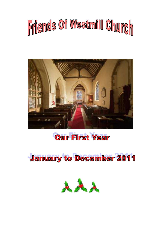



# **Our First Year**

**January to December 2011** 

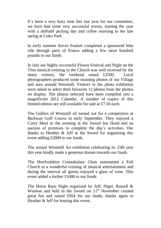It's been a very busy time this last year for our committee; we have had some very successful events, starting the year with a daffodil picking day and coffee morning in the late spring at Coles Park.

In early summer Kevin Foskett completed a sponsored bike ride through parts of France adding a few more hundred pounds to our funds.

In July our highly successful Flower Festival and Night on the Tiles musical evening in the Church was well received by the many visitors, the weekend raised £2500. Local photographers produced some stunning photos of our Village and area around Westmill. Visitors to the photo exhibition were asked to select their favourite 12 photos from the photos on display. The photos selected have been compiled into a magnificent 2012 Calendar. A number of copies of this limited edition are still available for sale at £7.50 each.

The Golfers of Westmill all turned out for a competition at Barkway Golf Course in early September. They enjoyed a Curry Meal in the evening at the Sword Inn Hand and an auction of promises to complete the day's activities. Our thanks to Heather & Jeff at the Sword for organizing this event adding £2000 to our funds.

The annual Westmill Art exhibition celebrating its 25th year this year kindly made a generous donate towards our funds.

The Hertfordshire Constabulary Choir entertained a Full Church to a wonderful evening of musical entertainment and during the interval all guests enjoyed a glass of wine. This event added a further £1000 to our funds.

The Horse Race Night organized by Jeff, Nigel, Russell & Winston and held in the Sword on  $11<sup>th</sup>$  November created great fun and raised £954 for our funds, thanks again to Heather & Jeff for hosting this event.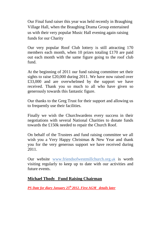Our Final fund raiser this year was held recently in Braughing Village Hall, when the Braughing Drama Group entertained us with their very popular Music Hall evening again raising funds for our Charity

Our very popular Roof Club lottery is still attracting 170 members each month, when 10 prizes totaling £170 are paid out each month with the same figure going to the roof club fund.

At the beginning of 2011 our fund raising committee set their sights to raise £20,000 during 2011. We have now raised over £33,000 and are overwhelmed by the support we have received. Thank you so much to all who have given so generously towards this fantastic figure.

Our thanks to the Greg Trust for their support and allowing us to frequently use their facilities.

Finally we wish the Churchwardens every success in their negotiations with several National Charities to donate funds towards the £150k needed to repair the Church Roof.

On behalf of the Trustees and fund raising committee we all wish you a Very Happy Christmas & New Year and thank you for the very generous support we have received during 2011.

Our website [www.friendsofwestmillchurch.org](http://www.friendsofwestmillchurch.org/)*.*uk is worth visiting regularly to keep up to date with our activities and future events.

## **Michael Thody Fund Raising Chairman**

*PS Date for diary January 25 th 2012. First AGM details later*